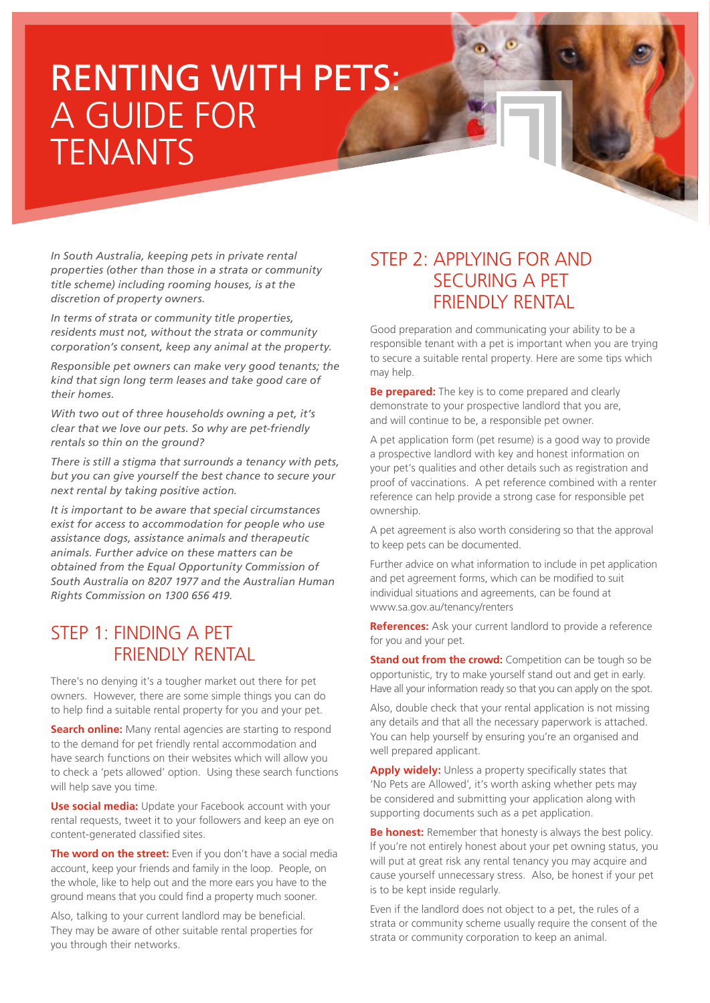# RENTING WITH PETS: A GUIDE FOR **TENANTS**

*In South Australia, keeping pets in private rental properties (other than those in a strata or community title scheme) including rooming houses, is at the discretion of property owners.* 

*In terms of strata or community title properties, residents must not, without the strata or community corporation's consent, keep any animal at the property.* 

*Responsible pet owners can make very good tenants; the kind that sign long term leases and take good care of their homes.* 

*With two out of three households owning a pet, it's clear that we love our pets. So why are pet-friendly rentals so thin on the ground?* 

*There is still a stigma that surrounds a tenancy with pets, but you can give yourself the best chance to secure your next rental by taking positive action.* 

*It is important to be aware that special circumstances exist for access to accommodation for people who use assistance dogs, assistance animals and therapeutic animals. Further advice on these matters can be obtained from the Equal Opportunity Commission of South Australia on 8207 1977 and the Australian Human Rights Commission on 1300 656 419.* 

## STEP 1: FINDING A PET FRIENDLY RENTAL

There's no denying it's a tougher market out there for pet owners. However, there are some simple things you can do to help find a suitable rental property for you and your pet.

**Search online:** Many rental agencies are starting to respond to the demand for pet friendly rental accommodation and have search functions on their websites which will allow you to check a 'pets allowed' option. Using these search functions will help save you time.

**Use social media:** Update your Facebook account with your rental requests, tweet it to your followers and keep an eye on content-generated classified sites.

**The word on the street:** Even if you don't have a social media account, keep your friends and family in the loop. People, on the whole, like to help out and the more ears you have to the ground means that you could find a property much sooner.

Also, talking to your current landlord may be beneficial. They may be aware of other suitable rental properties for you through their networks.

### STEP 2: APPLYING FOR AND SECURING A PET FRIENDLY RENTAL

Good preparation and communicating your ability to be a responsible tenant with a pet is important when you are trying to secure a suitable rental property. Here are some tips which may help.

**Be prepared:** The key is to come prepared and clearly demonstrate to your prospective landlord that you are, and will continue to be, a responsible pet owner.

A pet application form (pet resume) is a good way to provide a prospective landlord with key and honest information on your pet's qualities and other details such as registration and proof of vaccinations. A pet reference combined with a renter reference can help provide a strong case for responsible pet ownership.

A pet agreement is also worth considering so that the approval to keep pets can be documented.

Further advice on what information to include in pet application and pet agreement forms, which can be modified to suit individual situations and agreements, can be found at www.sa.gov.au/tenancy/renters

**References:** Ask your current landlord to provide a reference for you and your pet.

**Stand out from the crowd:** Competition can be tough so be opportunistic, try to make yourself stand out and get in early. Have all your information ready so that you can apply on the spot.

Also, double check that your rental application is not missing any details and that all the necessary paperwork is attached. You can help yourself by ensuring you're an organised and well prepared applicant.

Apply widely: Unless a property specifically states that 'No Pets are Allowed', it's worth asking whether pets may be considered and submitting your application along with supporting documents such as a pet application.

**Be honest:** Remember that honesty is always the best policy. If you're not entirely honest about your pet owning status, you will put at great risk any rental tenancy you may acquire and cause yourself unnecessary stress. Also, be honest if your pet is to be kept inside regularly.

Even if the landlord does not object to a pet, the rules of a strata or community scheme usually require the consent of the strata or community corporation to keep an animal.